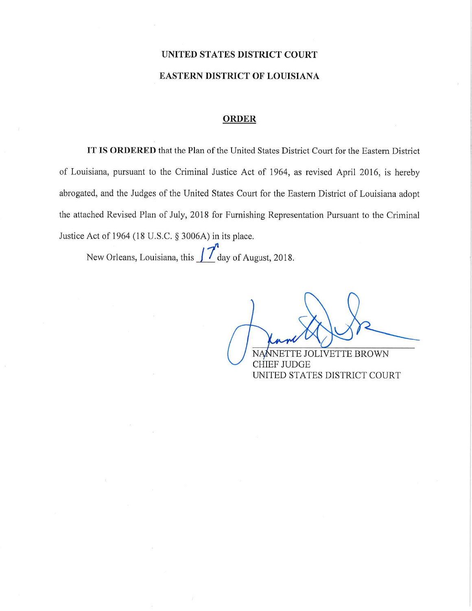# UNITED STATES DISTRICT COURT **EASTERN DISTRICT OF LOUISIANA**

#### **ORDER**

IT IS ORDERED that the Plan of the United States District Court for the Eastern District of Louisiana, pursuant to the Criminal Justice Act of 1964, as revised April 2016, is hereby abrogated, and the Judges of the United States Court for the Eastern District of Louisiana adopt the attached Revised Plan of July, 2018 for Furnishing Representation Pursuant to the Criminal Justice Act of 1964 (18 U.S.C. § 3006A) in its place.

New Orleans, Louisiana, this  $\int \int d$ ay of August, 2018.

TE JOLIVETTE BROWN **CHIEF JUDGE** UNITED STATES DISTRICT COURT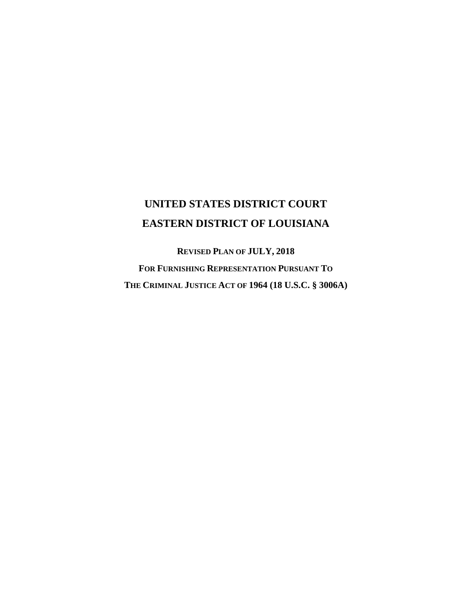# **UNITED STATES DISTRICT COURT EASTERN DISTRICT OF LOUISIANA**

**REVISED PLAN OF JULY, 2018 FOR FURNISHING REPRESENTATION PURSUANT TO THE CRIMINAL JUSTICE ACT OF 1964 (18 U.S.C. § 3006A)**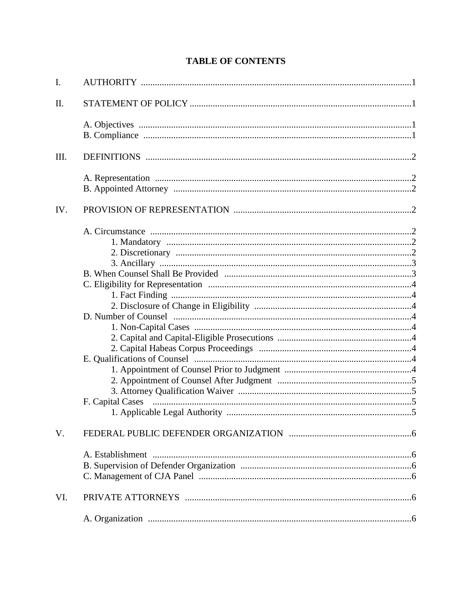# **TABLE OF CONTENTS**

| $I_{\cdot}$ |                  |  |
|-------------|------------------|--|
| Π.          |                  |  |
|             |                  |  |
| III.        |                  |  |
|             |                  |  |
| IV.         |                  |  |
|             | F. Capital Cases |  |
| V.          |                  |  |
|             |                  |  |
| VI.         |                  |  |
|             |                  |  |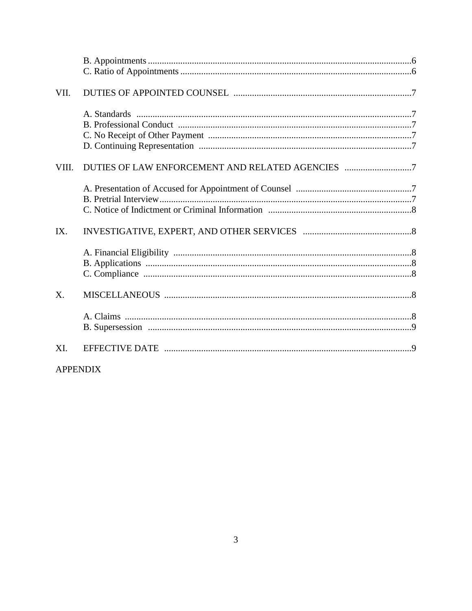| VII.  |  |
|-------|--|
|       |  |
| VIII. |  |
| IX.   |  |
| X.    |  |
| XI.   |  |

# **APPENDIX**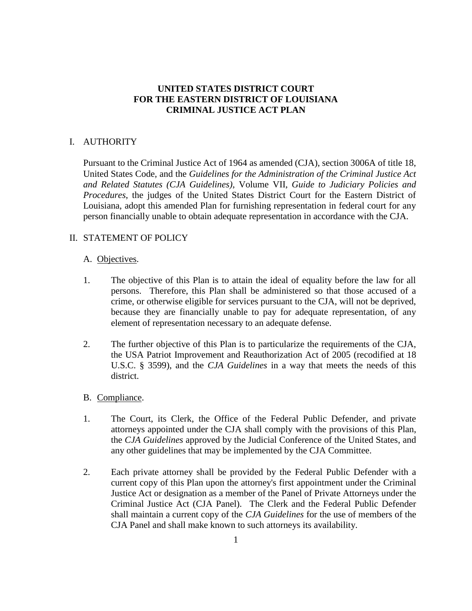## **UNITED STATES DISTRICT COURT FOR THE EASTERN DISTRICT OF LOUISIANA CRIMINAL JUSTICE ACT PLAN**

## I. AUTHORITY

Pursuant to the Criminal Justice Act of 1964 as amended (CJA), section 3006A of title 18, United States Code, and the *Guidelines for the Administration of the Criminal Justice Act and Related Statutes (CJA Guidelines)*, Volume VII, *Guide to Judiciary Policies and Procedures*, the judges of the United States District Court for the Eastern District of Louisiana, adopt this amended Plan for furnishing representation in federal court for any person financially unable to obtain adequate representation in accordance with the CJA.

## II. STATEMENT OF POLICY

## A. Objectives.

- 1. The objective of this Plan is to attain the ideal of equality before the law for all persons. Therefore, this Plan shall be administered so that those accused of a crime, or otherwise eligible for services pursuant to the CJA, will not be deprived, because they are financially unable to pay for adequate representation, of any element of representation necessary to an adequate defense.
- 2. The further objective of this Plan is to particularize the requirements of the CJA, the USA Patriot Improvement and Reauthorization Act of 2005 (recodified at 18 U.S.C. § 3599), and the *CJA Guidelines* in a way that meets the needs of this district.

## B. Compliance.

- 1. The Court, its Clerk, the Office of the Federal Public Defender, and private attorneys appointed under the CJA shall comply with the provisions of this Plan, the *CJA Guidelines* approved by the Judicial Conference of the United States, and any other guidelines that may be implemented by the CJA Committee.
- 2. Each private attorney shall be provided by the Federal Public Defender with a current copy of this Plan upon the attorney's first appointment under the Criminal Justice Act or designation as a member of the Panel of Private Attorneys under the Criminal Justice Act (CJA Panel). The Clerk and the Federal Public Defender shall maintain a current copy of the *CJA Guidelines* for the use of members of the CJA Panel and shall make known to such attorneys its availability.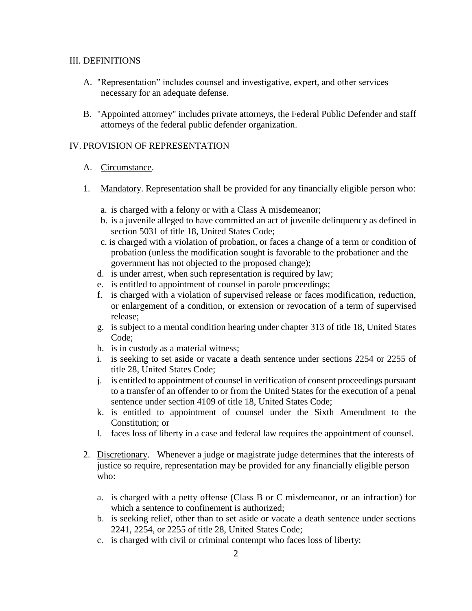#### III. DEFINITIONS

- A. "Representation" includes counsel and investigative, expert, and other services necessary for an adequate defense.
- B. "Appointed attorney" includes private attorneys, the Federal Public Defender and staff attorneys of the federal public defender organization.

## IV. PROVISION OF REPRESENTATION

## A. Circumstance.

- 1. Mandatory. Representation shall be provided for any financially eligible person who:
	- a. is charged with a felony or with a Class A misdemeanor;
	- b. is a juvenile alleged to have committed an act of juvenile delinquency as defined in section 5031 of title 18, United States Code;
	- c. is charged with a violation of probation, or faces a change of a term or condition of probation (unless the modification sought is favorable to the probationer and the government has not objected to the proposed change);
	- d. is under arrest, when such representation is required by law;
	- e. is entitled to appointment of counsel in parole proceedings;
	- f. is charged with a violation of supervised release or faces modification, reduction, or enlargement of a condition, or extension or revocation of a term of supervised release;
	- g. is subject to a mental condition hearing under chapter 313 of title 18, United States Code;
	- h. is in custody as a material witness;
	- i. is seeking to set aside or vacate a death sentence under sections 2254 or 2255 of title 28, United States Code;
	- j. is entitled to appointment of counsel in verification of consent proceedings pursuant to a transfer of an offender to or from the United States for the execution of a penal sentence under section 4109 of title 18, United States Code;
	- k. is entitled to appointment of counsel under the Sixth Amendment to the Constitution; or
	- l. faces loss of liberty in a case and federal law requires the appointment of counsel.
- 2. Discretionary. Whenever a judge or magistrate judge determines that the interests of justice so require, representation may be provided for any financially eligible person who:
	- a. is charged with a petty offense (Class B or C misdemeanor, or an infraction) for which a sentence to confinement is authorized;
	- b. is seeking relief, other than to set aside or vacate a death sentence under sections 2241, 2254, or 2255 of title 28, United States Code;
	- c. is charged with civil or criminal contempt who faces loss of liberty;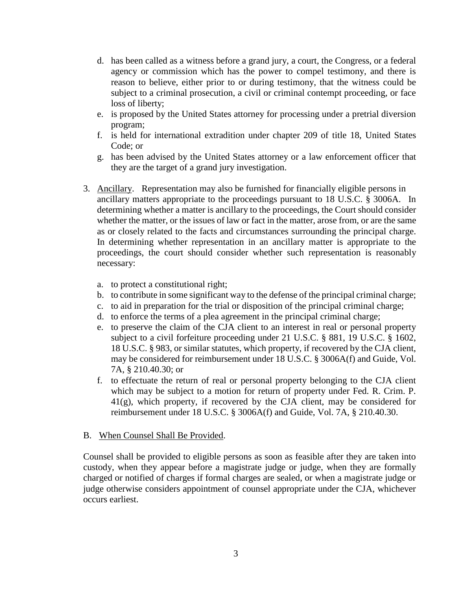- d. has been called as a witness before a grand jury, a court, the Congress, or a federal agency or commission which has the power to compel testimony, and there is reason to believe, either prior to or during testimony, that the witness could be subject to a criminal prosecution, a civil or criminal contempt proceeding, or face loss of liberty;
- e. is proposed by the United States attorney for processing under a pretrial diversion program;
- f. is held for international extradition under chapter 209 of title 18, United States Code; or
- g. has been advised by the United States attorney or a law enforcement officer that they are the target of a grand jury investigation.
- 3. Ancillary. Representation may also be furnished for financially eligible persons in ancillary matters appropriate to the proceedings pursuant to 18 U.S.C. § 3006A. In determining whether a matter is ancillary to the proceedings, the Court should consider whether the matter, or the issues of law or fact in the matter, arose from, or are the same as or closely related to the facts and circumstances surrounding the principal charge. In determining whether representation in an ancillary matter is appropriate to the proceedings, the court should consider whether such representation is reasonably necessary:
	- a. to protect a constitutional right;
	- b. to contribute in some significant way to the defense of the principal criminal charge;
	- c. to aid in preparation for the trial or disposition of the principal criminal charge;
	- d. to enforce the terms of a plea agreement in the principal criminal charge;
	- e. to preserve the claim of the CJA client to an interest in real or personal property subject to a civil forfeiture proceeding under 21 U.S.C. § 881, 19 U.S.C. § 1602, 18 U.S.C. § 983, or similar statutes, which property, if recovered by the CJA client, may be considered for reimbursement under 18 U.S.C. § 3006A(f) and Guide, Vol. 7A, § 210.40.30; or
	- f. to effectuate the return of real or personal property belonging to the CJA client which may be subject to a motion for return of property under Fed. R. Crim. P. 41(g), which property, if recovered by the CJA client, may be considered for reimbursement under 18 U.S.C. § 3006A(f) and Guide, Vol. 7A, § 210.40.30.

#### B. When Counsel Shall Be Provided.

Counsel shall be provided to eligible persons as soon as feasible after they are taken into custody, when they appear before a magistrate judge or judge, when they are formally charged or notified of charges if formal charges are sealed, or when a magistrate judge or judge otherwise considers appointment of counsel appropriate under the CJA, whichever occurs earliest.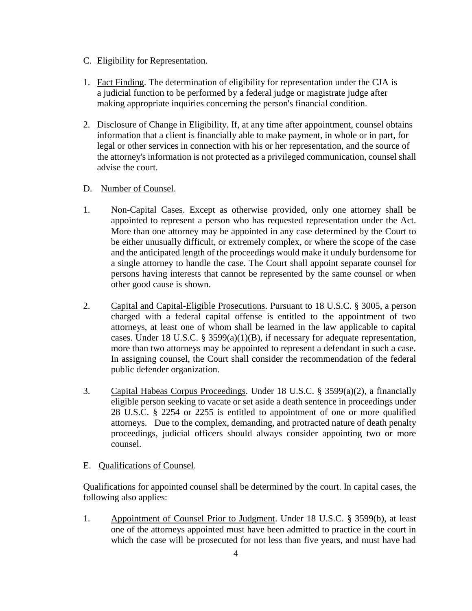#### C. Eligibility for Representation.

- 1. Fact Finding. The determination of eligibility for representation under the CJA is a judicial function to be performed by a federal judge or magistrate judge after making appropriate inquiries concerning the person's financial condition.
- 2. Disclosure of Change in Eligibility. If, at any time after appointment, counsel obtains information that a client is financially able to make payment, in whole or in part, for legal or other services in connection with his or her representation, and the source of the attorney's information is not protected as a privileged communication, counsel shall advise the court.

## D. Number of Counsel.

- 1. Non-Capital Cases. Except as otherwise provided, only one attorney shall be appointed to represent a person who has requested representation under the Act. More than one attorney may be appointed in any case determined by the Court to be either unusually difficult, or extremely complex, or where the scope of the case and the anticipated length of the proceedings would make it unduly burdensome for a single attorney to handle the case. The Court shall appoint separate counsel for persons having interests that cannot be represented by the same counsel or when other good cause is shown.
- 2. Capital and Capital-Eligible Prosecutions. Pursuant to 18 U.S.C. § 3005, a person charged with a federal capital offense is entitled to the appointment of two attorneys, at least one of whom shall be learned in the law applicable to capital cases. Under 18 U.S.C. § 3599(a)(1)(B), if necessary for adequate representation, more than two attorneys may be appointed to represent a defendant in such a case. In assigning counsel, the Court shall consider the recommendation of the federal public defender organization.
- 3. Capital Habeas Corpus Proceedings. Under 18 U.S.C. § 3599(a)(2), a financially eligible person seeking to vacate or set aside a death sentence in proceedings under 28 U.S.C. § 2254 or 2255 is entitled to appointment of one or more qualified attorneys. Due to the complex, demanding, and protracted nature of death penalty proceedings, judicial officers should always consider appointing two or more counsel.

## E. Qualifications of Counsel.

Qualifications for appointed counsel shall be determined by the court. In capital cases, the following also applies:

1. Appointment of Counsel Prior to Judgment. Under 18 U.S.C. § 3599(b), at least one of the attorneys appointed must have been admitted to practice in the court in which the case will be prosecuted for not less than five years, and must have had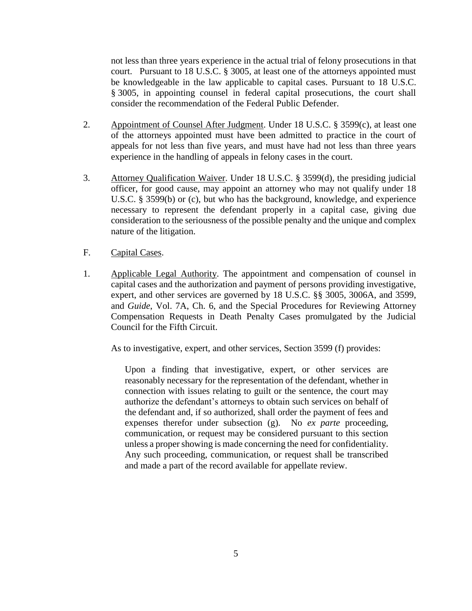not less than three years experience in the actual trial of felony prosecutions in that court. Pursuant to 18 U.S.C. § 3005, at least one of the attorneys appointed must be knowledgeable in the law applicable to capital cases. Pursuant to 18 U.S.C. § 3005, in appointing counsel in federal capital prosecutions, the court shall consider the recommendation of the Federal Public Defender.

- 2. Appointment of Counsel After Judgment. Under 18 U.S.C. § 3599(c), at least one of the attorneys appointed must have been admitted to practice in the court of appeals for not less than five years, and must have had not less than three years experience in the handling of appeals in felony cases in the court.
- 3. Attorney Qualification Waiver. Under 18 U.S.C. § 3599(d), the presiding judicial officer, for good cause, may appoint an attorney who may not qualify under 18 U.S.C. § 3599(b) or (c), but who has the background, knowledge, and experience necessary to represent the defendant properly in a capital case, giving due consideration to the seriousness of the possible penalty and the unique and complex nature of the litigation.
- F. Capital Cases.
- 1. Applicable Legal Authority. The appointment and compensation of counsel in capital cases and the authorization and payment of persons providing investigative, expert, and other services are governed by 18 U.S.C. §§ 3005, 3006A, and 3599, and *Guide*, Vol. 7A, Ch. 6, and the Special Procedures for Reviewing Attorney Compensation Requests in Death Penalty Cases promulgated by the Judicial Council for the Fifth Circuit.

As to investigative, expert, and other services, Section 3599 (f) provides:

Upon a finding that investigative, expert, or other services are reasonably necessary for the representation of the defendant, whether in connection with issues relating to guilt or the sentence, the court may authorize the defendant's attorneys to obtain such services on behalf of the defendant and, if so authorized, shall order the payment of fees and expenses therefor under subsection (g). No *ex parte* proceeding, communication, or request may be considered pursuant to this section unless a proper showing is made concerning the need for confidentiality. Any such proceeding, communication, or request shall be transcribed and made a part of the record available for appellate review.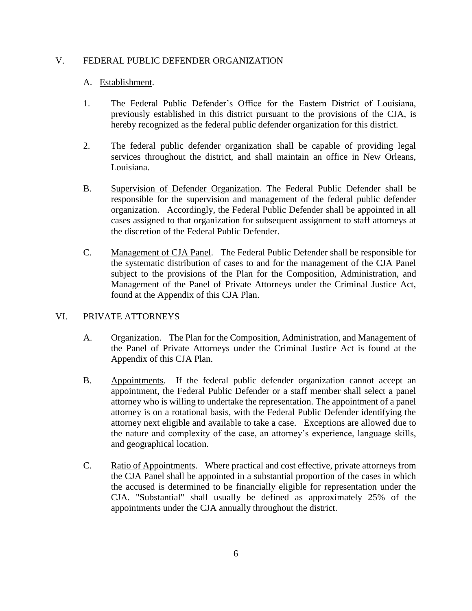#### V. FEDERAL PUBLIC DEFENDER ORGANIZATION

#### A. Establishment.

- 1. The Federal Public Defender's Office for the Eastern District of Louisiana, previously established in this district pursuant to the provisions of the CJA, is hereby recognized as the federal public defender organization for this district.
- 2. The federal public defender organization shall be capable of providing legal services throughout the district, and shall maintain an office in New Orleans, Louisiana.
- B. Supervision of Defender Organization. The Federal Public Defender shall be responsible for the supervision and management of the federal public defender organization. Accordingly, the Federal Public Defender shall be appointed in all cases assigned to that organization for subsequent assignment to staff attorneys at the discretion of the Federal Public Defender.
- C. Management of CJA Panel. The Federal Public Defender shall be responsible for the systematic distribution of cases to and for the management of the CJA Panel subject to the provisions of the Plan for the Composition, Administration, and Management of the Panel of Private Attorneys under the Criminal Justice Act, found at the Appendix of this CJA Plan.

## VI. PRIVATE ATTORNEYS

- A. Organization. The Plan for the Composition, Administration, and Management of the Panel of Private Attorneys under the Criminal Justice Act is found at the Appendix of this CJA Plan.
- B. Appointments. If the federal public defender organization cannot accept an appointment, the Federal Public Defender or a staff member shall select a panel attorney who is willing to undertake the representation. The appointment of a panel attorney is on a rotational basis, with the Federal Public Defender identifying the attorney next eligible and available to take a case. Exceptions are allowed due to the nature and complexity of the case, an attorney's experience, language skills, and geographical location.
- C. Ratio of Appointments. Where practical and cost effective, private attorneys from the CJA Panel shall be appointed in a substantial proportion of the cases in which the accused is determined to be financially eligible for representation under the CJA. "Substantial" shall usually be defined as approximately 25% of the appointments under the CJA annually throughout the district.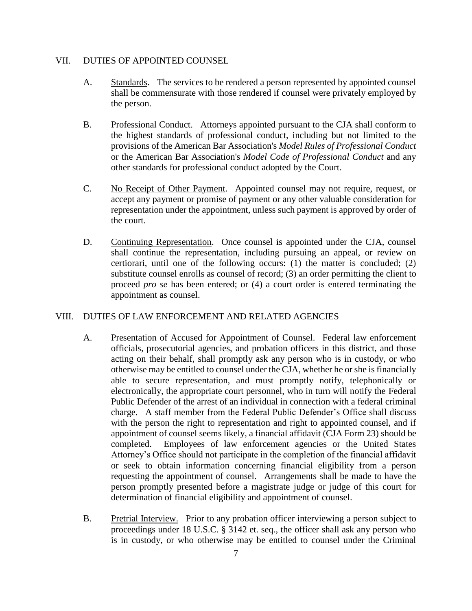#### VII. DUTIES OF APPOINTED COUNSEL

- A. Standards. The services to be rendered a person represented by appointed counsel shall be commensurate with those rendered if counsel were privately employed by the person.
- B. Professional Conduct. Attorneys appointed pursuant to the CJA shall conform to the highest standards of professional conduct, including but not limited to the provisions of the American Bar Association's *Model Rules of Professional Conduct* or the American Bar Association's *Model Code of Professional Conduct* and any other standards for professional conduct adopted by the Court.
- C. No Receipt of Other Payment. Appointed counsel may not require, request, or accept any payment or promise of payment or any other valuable consideration for representation under the appointment, unless such payment is approved by order of the court.
- D. Continuing Representation. Once counsel is appointed under the CJA, counsel shall continue the representation, including pursuing an appeal, or review on certiorari, until one of the following occurs: (1) the matter is concluded; (2) substitute counsel enrolls as counsel of record; (3) an order permitting the client to proceed *pro se* has been entered; or (4) a court order is entered terminating the appointment as counsel.

## VIII. DUTIES OF LAW ENFORCEMENT AND RELATED AGENCIES

- A. Presentation of Accused for Appointment of Counsel. Federal law enforcement officials, prosecutorial agencies, and probation officers in this district, and those acting on their behalf, shall promptly ask any person who is in custody, or who otherwise may be entitled to counsel under the CJA, whether he or she is financially able to secure representation, and must promptly notify, telephonically or electronically, the appropriate court personnel, who in turn will notify the Federal Public Defender of the arrest of an individual in connection with a federal criminal charge. A staff member from the Federal Public Defender's Office shall discuss with the person the right to representation and right to appointed counsel, and if appointment of counsel seems likely, a financial affidavit (CJA Form 23) should be completed. Employees of law enforcement agencies or the United States Attorney's Office should not participate in the completion of the financial affidavit or seek to obtain information concerning financial eligibility from a person requesting the appointment of counsel. Arrangements shall be made to have the person promptly presented before a magistrate judge or judge of this court for determination of financial eligibility and appointment of counsel.
- B. Pretrial Interview. Prior to any probation officer interviewing a person subject to proceedings under 18 U.S.C. § 3142 et. seq., the officer shall ask any person who is in custody, or who otherwise may be entitled to counsel under the Criminal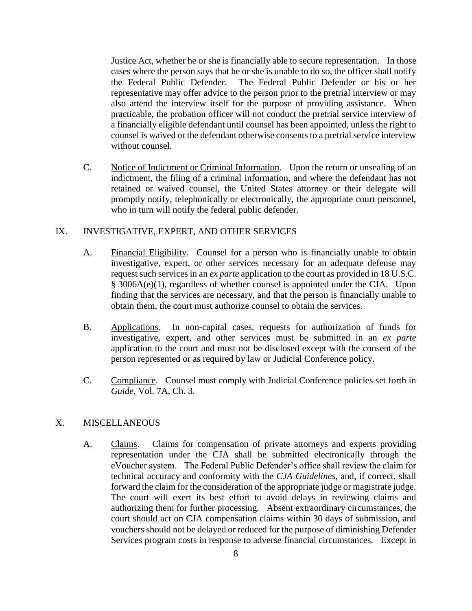Justice Act, whether he or she is financially able to secure representation. In those cases where the person says that he or she is unable to do so, the officer shall notify the Federal Public Defender. The Federal Public Defender or his or her representative may offer advice to the person prior to the pretrial interview or may also attend the interview itself for the purpose of providing assistance. When practicable, the probation officer will not conduct the pretrial service interview of a financially eligible defendant until counsel has been appointed, unless the right to counsel is waived or the defendant otherwise consents to a pretrial service interview without counsel.

C. Notice of Indictment or Criminal Information. Upon the return or unsealing of an indictment, the filing of a criminal information, and where the defendant has not retained or waived counsel, the United States attorney or their delegate will promptly notify, telephonically or electronically, the appropriate court personnel, who in turn will notify the federal public defender.

## IX. INVESTIGATIVE, EXPERT, AND OTHER SERVICES

- A. Financial Eligibility. Counsel for a person who is financially unable to obtain investigative, expert, or other services necessary for an adequate defense may request such services in an *ex parte* application to the court as provided in 18 U.S.C. § 3006A(e)(1), regardless of whether counsel is appointed under the CJA. Upon finding that the services are necessary, and that the person is financially unable to obtain them, the court must authorize counsel to obtain the services.
- B. Applications. In non-capital cases, requests for authorization of funds for investigative, expert, and other services must be submitted in an *ex parte* application to the court and must not be disclosed except with the consent of the person represented or as required by law or Judicial Conference policy.
- C. Compliance. Counsel must comply with Judicial Conference policies set forth in *Guide,* Vol. 7A, Ch. 3.

## X. MISCELLANEOUS

A. Claims. Claims for compensation of private attorneys and experts providing representation under the CJA shall be submitted electronically through the eVoucher system. The Federal Public Defender's office shall review the claim for technical accuracy and conformity with the *CJA Guidelines*, and, if correct, shall forward the claim for the consideration of the appropriate judge or magistrate judge. The court will exert its best effort to avoid delays in reviewing claims and authorizing them for further processing. Absent extraordinary circumstances, the court should act on CJA compensation claims within 30 days of submission, and vouchers should not be delayed or reduced for the purpose of diminishing Defender Services program costs in response to adverse financial circumstances. Except in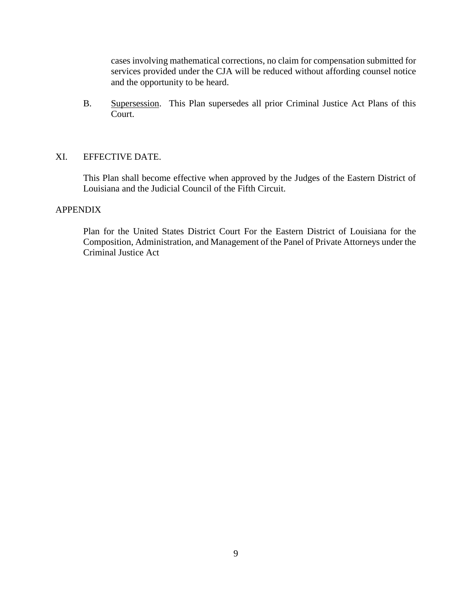cases involving mathematical corrections, no claim for compensation submitted for services provided under the CJA will be reduced without affording counsel notice and the opportunity to be heard.

B. Supersession. This Plan supersedes all prior Criminal Justice Act Plans of this Court.

## XI. EFFECTIVE DATE.

This Plan shall become effective when approved by the Judges of the Eastern District of Louisiana and the Judicial Council of the Fifth Circuit.

## APPENDIX

Plan for the United States District Court For the Eastern District of Louisiana for the Composition, Administration, and Management of the Panel of Private Attorneys under the Criminal Justice Act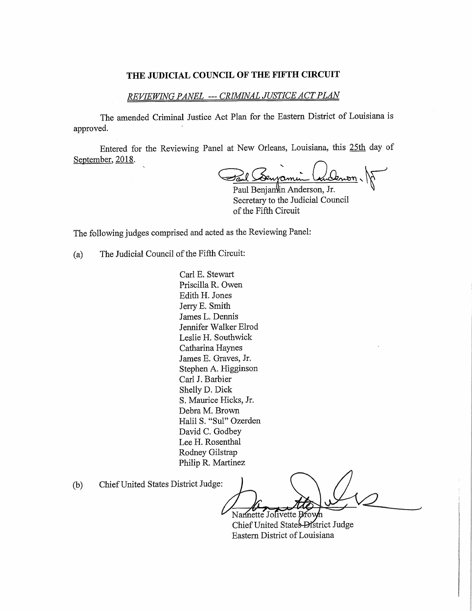#### THE JUDICIAL COUNCIL OF THE FIFTH CIRCUIT

## REVIEWING PANEL --- CRIMINAL JUSTICE ACT PLAN

The amended Criminal Justice Act Plan for the Eastern District of Louisiana is approved.

Entered for the Reviewing Panel at New Orleans, Louisiana, this 25th day of September, 2018.

<u> Oenon</u>, Denvamen

Paul Benjamin Anderson, Jr. Secretary to the Judicial Council of the Fifth Circuit

The following judges comprised and acted as the Reviewing Panel:

The Judicial Council of the Fifth Circuit:  $(a)$ 

> Carl E. Stewart Priscilla R. Owen Edith H. Jones Jerry E. Smith James L. Dennis Jennifer Walker Elrod Leslie H. Southwick Catharina Haynes James E. Graves, Jr. Stephen A. Higginson Carl J. Barbier Shelly D. Dick S. Maurice Hicks, Jr. Debra M. Brown Halil S. "Sul" Ozerden David C. Godbey Lee H. Rosenthal Rodney Gilstrap Philip R. Martinez

Chief United States District Judge:  $(b)$ 

Namette Jolivette Brown Chief United States District Judge Eastern District of Louisiana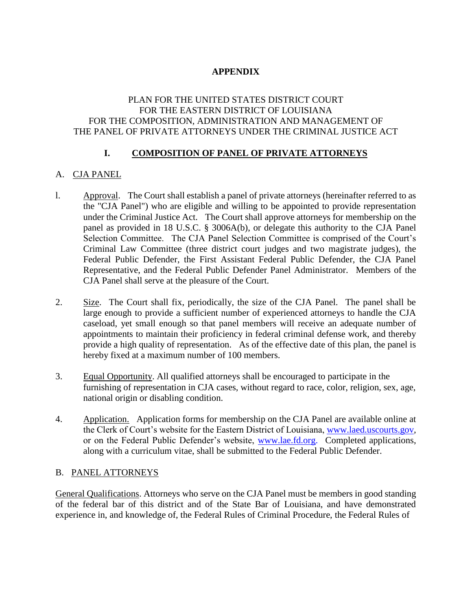# **APPENDIX**

## PLAN FOR THE UNITED STATES DISTRICT COURT FOR THE EASTERN DISTRICT OF LOUISIANA FOR THE COMPOSITION, ADMINISTRATION AND MANAGEMENT OF THE PANEL OF PRIVATE ATTORNEYS UNDER THE CRIMINAL JUSTICE ACT

## **I. COMPOSITION OF PANEL OF PRIVATE ATTORNEYS**

# A. CJA PANEL

- l. Approval. The Court shall establish a panel of private attorneys (hereinafter referred to as the "CJA Panel") who are eligible and willing to be appointed to provide representation under the Criminal Justice Act. The Court shall approve attorneys for membership on the panel as provided in 18 U.S.C. § 3006A(b), or delegate this authority to the CJA Panel Selection Committee. The CJA Panel Selection Committee is comprised of the Court's Criminal Law Committee (three district court judges and two magistrate judges), the Federal Public Defender, the First Assistant Federal Public Defender, the CJA Panel Representative, and the Federal Public Defender Panel Administrator. Members of the CJA Panel shall serve at the pleasure of the Court.
- 2. Size. The Court shall fix, periodically, the size of the CJA Panel. The panel shall be large enough to provide a sufficient number of experienced attorneys to handle the CJA caseload, yet small enough so that panel members will receive an adequate number of appointments to maintain their proficiency in federal criminal defense work, and thereby provide a high quality of representation. As of the effective date of this plan, the panel is hereby fixed at a maximum number of 100 members.
- 3. Equal Opportunity. All qualified attorneys shall be encouraged to participate in the furnishing of representation in CJA cases, without regard to race, color, religion, sex, age, national origin or disabling condition.
- 4. Application. Application forms for membership on the CJA Panel are available online at the Clerk of Court's website for the Eastern District of Louisiana, www.laed.uscourts.gov, or on the Federal Public Defender's website, www.lae.fd.org. Completed applications, along with a curriculum vitae, shall be submitted to the Federal Public Defender.

## B. PANEL ATTORNEYS

General Qualifications. Attorneys who serve on the CJA Panel must be members in good standing of the federal bar of this district and of the State Bar of Louisiana, and have demonstrated experience in, and knowledge of, the Federal Rules of Criminal Procedure, the Federal Rules of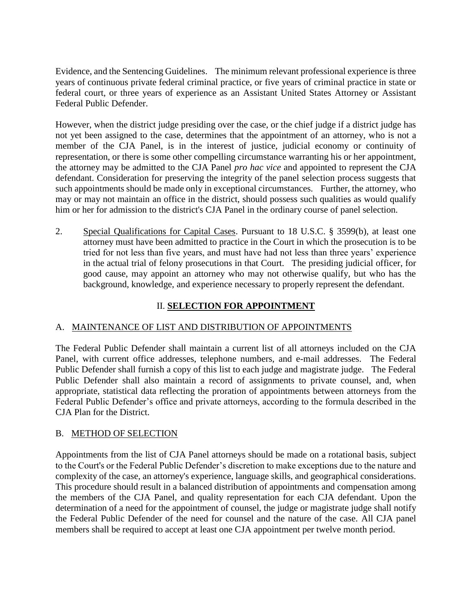Evidence, and the Sentencing Guidelines. The minimum relevant professional experience is three years of continuous private federal criminal practice, or five years of criminal practice in state or federal court, or three years of experience as an Assistant United States Attorney or Assistant Federal Public Defender.

However, when the district judge presiding over the case, or the chief judge if a district judge has not yet been assigned to the case, determines that the appointment of an attorney, who is not a member of the CJA Panel, is in the interest of justice, judicial economy or continuity of representation, or there is some other compelling circumstance warranting his or her appointment, the attorney may be admitted to the CJA Panel *pro hac vice* and appointed to represent the CJA defendant. Consideration for preserving the integrity of the panel selection process suggests that such appointments should be made only in exceptional circumstances. Further, the attorney, who may or may not maintain an office in the district, should possess such qualities as would qualify him or her for admission to the district's CJA Panel in the ordinary course of panel selection.

2. Special Qualifications for Capital Cases. Pursuant to 18 U.S.C. § 3599(b), at least one attorney must have been admitted to practice in the Court in which the prosecution is to be tried for not less than five years, and must have had not less than three years' experience in the actual trial of felony prosecutions in that Court. The presiding judicial officer, for good cause, may appoint an attorney who may not otherwise qualify, but who has the background, knowledge, and experience necessary to properly represent the defendant.

# II. **SELECTION FOR APPOINTMENT**

## A. MAINTENANCE OF LIST AND DISTRIBUTION OF APPOINTMENTS

The Federal Public Defender shall maintain a current list of all attorneys included on the CJA Panel, with current office addresses, telephone numbers, and e-mail addresses. The Federal Public Defender shall furnish a copy of this list to each judge and magistrate judge. The Federal Public Defender shall also maintain a record of assignments to private counsel, and, when appropriate, statistical data reflecting the proration of appointments between attorneys from the Federal Public Defender's office and private attorneys, according to the formula described in the CJA Plan for the District.

## B. METHOD OF SELECTION

Appointments from the list of CJA Panel attorneys should be made on a rotational basis, subject to the Court's or the Federal Public Defender's discretion to make exceptions due to the nature and complexity of the case, an attorney's experience, language skills, and geographical considerations. This procedure should result in a balanced distribution of appointments and compensation among the members of the CJA Panel, and quality representation for each CJA defendant. Upon the determination of a need for the appointment of counsel, the judge or magistrate judge shall notify the Federal Public Defender of the need for counsel and the nature of the case. All CJA panel members shall be required to accept at least one CJA appointment per twelve month period.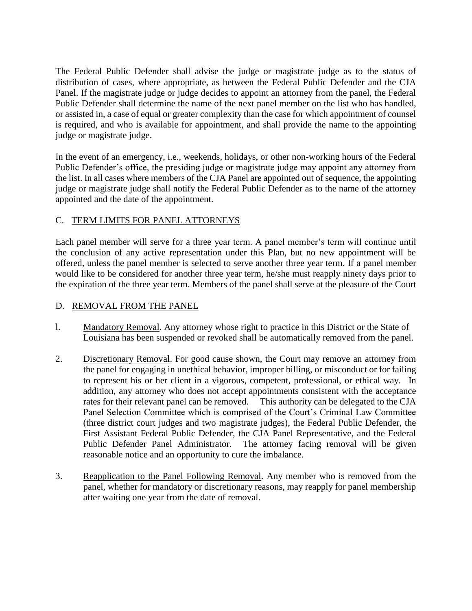The Federal Public Defender shall advise the judge or magistrate judge as to the status of distribution of cases, where appropriate, as between the Federal Public Defender and the CJA Panel. If the magistrate judge or judge decides to appoint an attorney from the panel, the Federal Public Defender shall determine the name of the next panel member on the list who has handled, or assisted in, a case of equal or greater complexity than the case for which appointment of counsel is required, and who is available for appointment, and shall provide the name to the appointing judge or magistrate judge.

In the event of an emergency, i.e., weekends, holidays, or other non-working hours of the Federal Public Defender's office, the presiding judge or magistrate judge may appoint any attorney from the list. In all cases where members of the CJA Panel are appointed out of sequence, the appointing judge or magistrate judge shall notify the Federal Public Defender as to the name of the attorney appointed and the date of the appointment.

# C. TERM LIMITS FOR PANEL ATTORNEYS

Each panel member will serve for a three year term. A panel member's term will continue until the conclusion of any active representation under this Plan, but no new appointment will be offered, unless the panel member is selected to serve another three year term. If a panel member would like to be considered for another three year term, he/she must reapply ninety days prior to the expiration of the three year term. Members of the panel shall serve at the pleasure of the Court

## D. REMOVAL FROM THE PANEL

- l. Mandatory Removal. Any attorney whose right to practice in this District or the State of Louisiana has been suspended or revoked shall be automatically removed from the panel.
- 2. Discretionary Removal. For good cause shown, the Court may remove an attorney from the panel for engaging in unethical behavior, improper billing, or misconduct or for failing to represent his or her client in a vigorous, competent, professional, or ethical way. In addition, any attorney who does not accept appointments consistent with the acceptance rates for their relevant panel can be removed. This authority can be delegated to the CJA Panel Selection Committee which is comprised of the Court's Criminal Law Committee (three district court judges and two magistrate judges), the Federal Public Defender, the First Assistant Federal Public Defender, the CJA Panel Representative, and the Federal Public Defender Panel Administrator. The attorney facing removal will be given reasonable notice and an opportunity to cure the imbalance.
- 3. Reapplication to the Panel Following Removal. Any member who is removed from the panel, whether for mandatory or discretionary reasons, may reapply for panel membership after waiting one year from the date of removal.